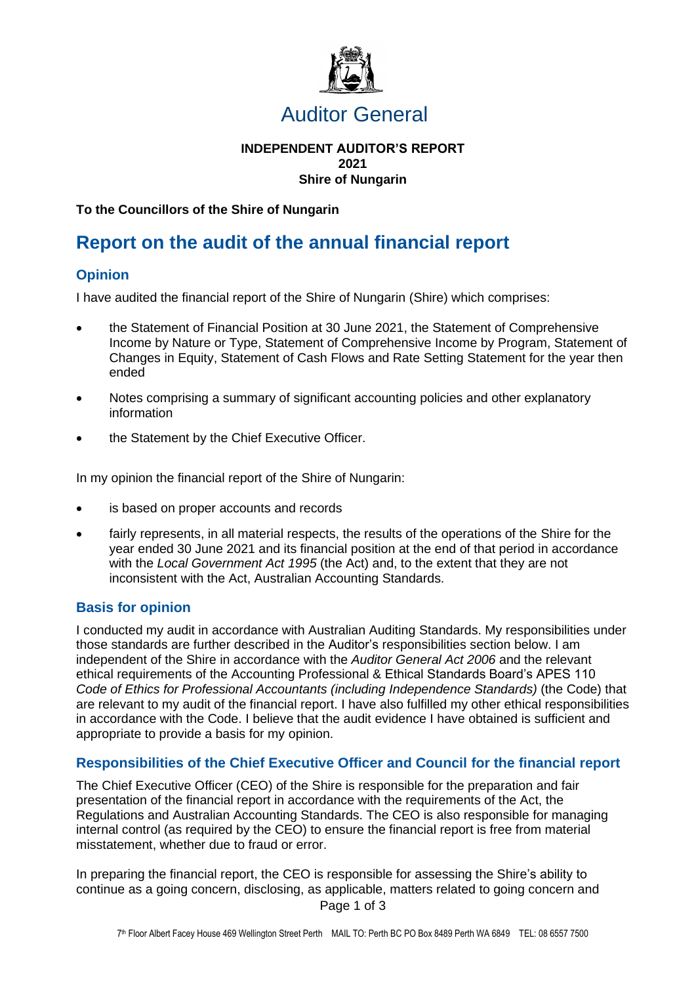

# Auditor General

#### **INDEPENDENT AUDITOR'S REPORT 2021 Shire of Nungarin**

**To the Councillors of the Shire of Nungarin**

# **Report on the audit of the annual financial report**

## **Opinion**

I have audited the financial report of the Shire of Nungarin (Shire) which comprises:

- the Statement of Financial Position at 30 June 2021, the Statement of Comprehensive Income by Nature or Type, Statement of Comprehensive Income by Program, Statement of Changes in Equity, Statement of Cash Flows and Rate Setting Statement for the year then ended
- Notes comprising a summary of significant accounting policies and other explanatory information
- the Statement by the Chief Executive Officer.

In my opinion the financial report of the Shire of Nungarin:

- is based on proper accounts and records
- fairly represents, in all material respects, the results of the operations of the Shire for the year ended 30 June 2021 and its financial position at the end of that period in accordance with the *Local Government Act 1995* (the Act) and, to the extent that they are not inconsistent with the Act, Australian Accounting Standards.

### **Basis for opinion**

I conducted my audit in accordance with Australian Auditing Standards. My responsibilities under those standards are further described in the Auditor's responsibilities section below. I am independent of the Shire in accordance with the *Auditor General Act 2006* and the relevant ethical requirements of the Accounting Professional & Ethical Standards Board's APES 110 *Code of Ethics for Professional Accountants (including Independence Standards)* (the Code) that are relevant to my audit of the financial report. I have also fulfilled my other ethical responsibilities in accordance with the Code. I believe that the audit evidence I have obtained is sufficient and appropriate to provide a basis for my opinion.

### **Responsibilities of the Chief Executive Officer and Council for the financial report**

The Chief Executive Officer (CEO) of the Shire is responsible for the preparation and fair presentation of the financial report in accordance with the requirements of the Act, the Regulations and Australian Accounting Standards. The CEO is also responsible for managing internal control (as required by the CEO) to ensure the financial report is free from material misstatement, whether due to fraud or error.

Page 1 of 3 In preparing the financial report, the CEO is responsible for assessing the Shire's ability to continue as a going concern, disclosing, as applicable, matters related to going concern and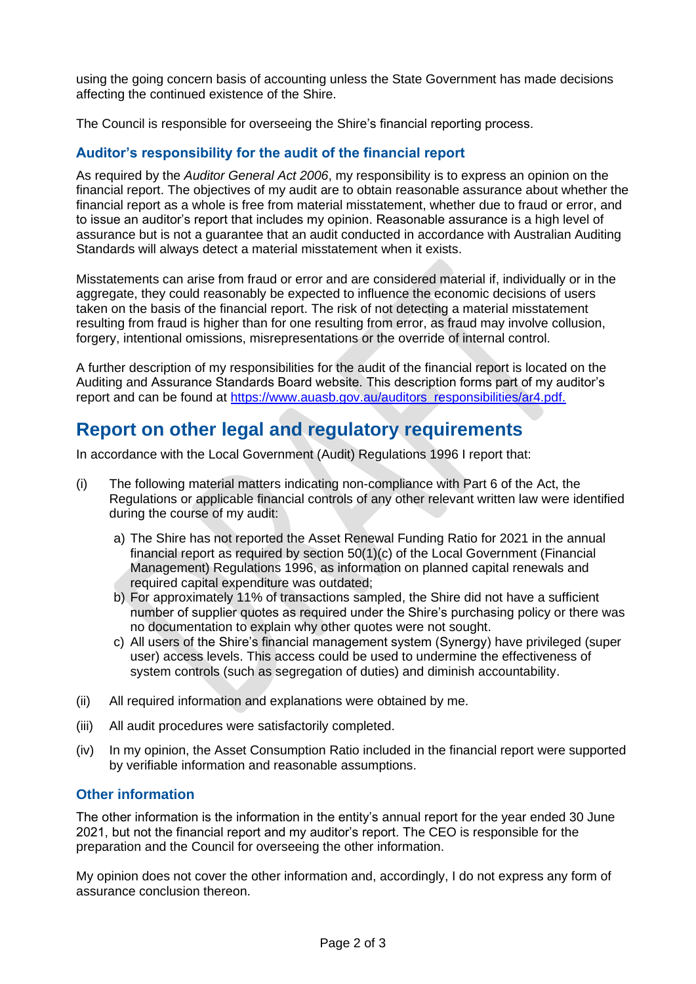using the going concern basis of accounting unless the State Government has made decisions affecting the continued existence of the Shire.

The Council is responsible for overseeing the Shire's financial reporting process.

### **Auditor's responsibility for the audit of the financial report**

As required by the *Auditor General Act 2006*, my responsibility is to express an opinion on the financial report. The objectives of my audit are to obtain reasonable assurance about whether the financial report as a whole is free from material misstatement, whether due to fraud or error, and to issue an auditor's report that includes my opinion. Reasonable assurance is a high level of assurance but is not a guarantee that an audit conducted in accordance with Australian Auditing Standards will always detect a material misstatement when it exists.

Misstatements can arise from fraud or error and are considered material if, individually or in the aggregate, they could reasonably be expected to influence the economic decisions of users taken on the basis of the financial report. The risk of not detecting a material misstatement resulting from fraud is higher than for one resulting from error, as fraud may involve collusion, forgery, intentional omissions, misrepresentations or the override of internal control.

A further description of my responsibilities for the audit of the financial report is located on the Auditing and Assurance Standards Board website. This description forms part of my auditor's report and can be found at [https://www.auasb.gov.au/auditors\\_responsibilities/ar4.pdf.](https://www.auasb.gov.au/auditors_responsibilities/ar4.pdf) 

# **Report on other legal and regulatory requirements**

In accordance with the Local Government (Audit) Regulations 1996 I report that:

- (i) The following material matters indicating non-compliance with Part 6 of the Act, the Regulations or applicable financial controls of any other relevant written law were identified during the course of my audit:
	- a) The Shire has not reported the Asset Renewal Funding Ratio for 2021 in the annual financial report as required by section 50(1)(c) of the Local Government (Financial Management) Regulations 1996, as information on planned capital renewals and required capital expenditure was outdated;
	- b) For approximately 11% of transactions sampled, the Shire did not have a sufficient number of supplier quotes as required under the Shire's purchasing policy or there was no documentation to explain why other quotes were not sought.
	- c) All users of the Shire's financial management system (Synergy) have privileged (super user) access levels. This access could be used to undermine the effectiveness of system controls (such as segregation of duties) and diminish accountability.
- (ii) All required information and explanations were obtained by me.
- (iii) All audit procedures were satisfactorily completed.
- (iv) In my opinion, the Asset Consumption Ratio included in the financial report were supported by verifiable information and reasonable assumptions.

### **Other information**

The other information is the information in the entity's annual report for the year ended 30 June 2021, but not the financial report and my auditor's report. The CEO is responsible for the preparation and the Council for overseeing the other information.

My opinion does not cover the other information and, accordingly, I do not express any form of assurance conclusion thereon.